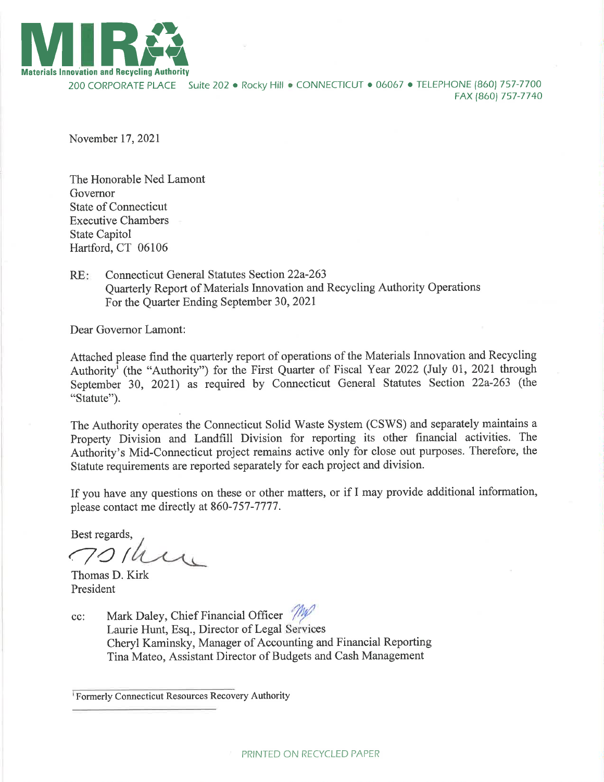

200 CORPORATE PLACE Suite 202 • Rocky Hill • CONNECTICUT • 06067 • TELEPHONE (860) 757-7700 FAX (8ó0) 757-7740

November 17,2021

The Honorable Ned Lamont Governor State of Connecticut Executive Chambers State Capitol Hartford, CT 06106

Connecticut General Statutes Section 22a-263 Quarterly Report of Materials Innovation and Recycling Authority Operations For the Quarter Ending September 30,202I RE:

Dear Governor Lamont:

Attached please find the quarterly report of operations of the Materials Innovation and Recycling Authority<sup>i</sup> (the "Authority") for the First Quarter of Fiscal Year 2022 (July 01, 2021 through September 30, 2021) as required by Connecticut General Statutes Section 22a-263 (the "Statute").

The Authority operates the Connecticut Solid Waste System (CSWS) and separately maintains <sup>a</sup> Property Division and Landfill Division for reporting its other financial activities. The Authority's Mid-Connecticut project remains active only for close out purposes. Therefore, the Statute requirements are reported separately for each project and division.

If you have any questions on these or other matters, or if I may provide additional information, please contact me directly at 860-757-7777.

Best regards,  $\bigwedge$ 

Thomas D. Kirk President

cc: Mark Daley, Chief Financial Officer  $\frac{7}{100}$ Laurie Hunt, Esq., Director of Legal Services Cheryl Kaminsky, Manager of Accounting and Financial Reporting Tina Mateo, Assistant Director of Budgets and Cash Management

Formerly Connecticut Resources Recovery Authority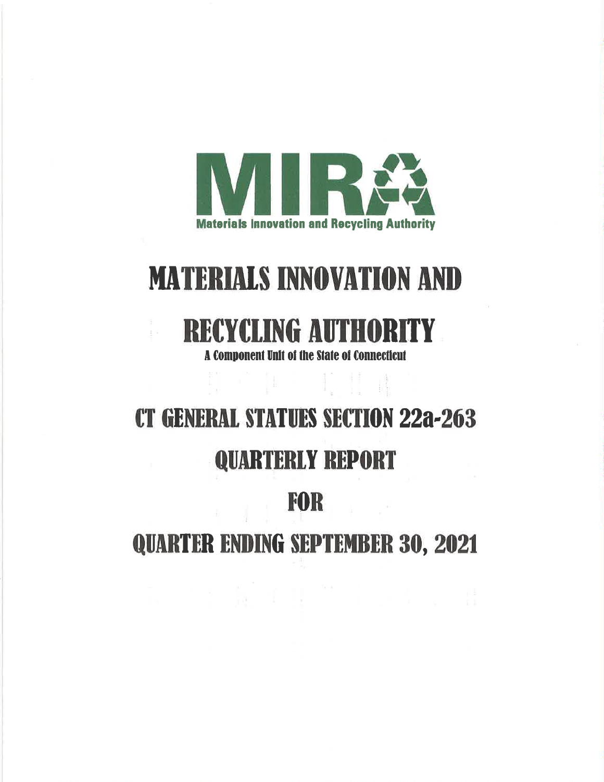

# **MATERIALS INNOVATION AND**

## **RECYCLING AUTHORITY**

 $\pm$   $\alpha$ 

**A Component Unit of the State of Connecticut** 

# **CT GENERAL STATUES SECTION 22a-263**

## **QUARTERLY REPORT**

### **FOR**

**QUARTER ENDING SEPTEMBER 30, 2021**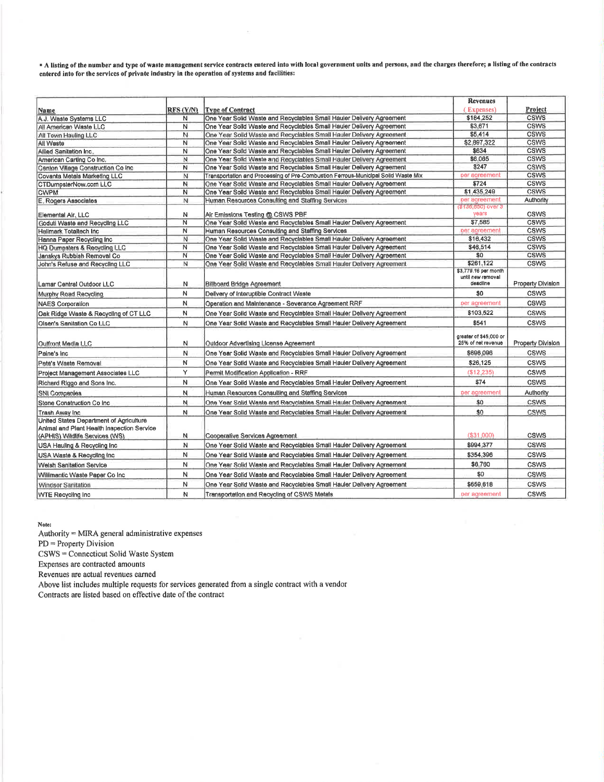A listing of the number and type of waste management service contracts entered into with local government units and persons, and the charges therefore; a listing of the contracts entered into for the services of private industry in the operation of systems and facilities:

|                                            |                  |                                                                                   | <b>Revenues</b>                              |                   |
|--------------------------------------------|------------------|-----------------------------------------------------------------------------------|----------------------------------------------|-------------------|
| Name                                       | <b>RFS (Y/N)</b> | <b>Type of Contract</b>                                                           | (Expenses)                                   | <b>Project</b>    |
| A.J. Waste Systems LLC                     | N                | One Year Solid Waste and Recyclables Small Hauler Delivery Agreement              | \$184,252                                    | <b>CSWS</b>       |
| All American Waste LLC                     | N                | One Year Solld Waste and Recyclabies Small Hauler Delivery Agreement              | \$3.671                                      | <b>CSWS</b>       |
| All Town Hauling LLC                       | N.               | One Year Solid Waste and Recyclables Small Hauler Delivery Agreement              | \$5,414                                      | <b>CSWS</b>       |
| All Waste                                  | N                | One Year Solid Waste and Recyclables Small Hauler Delivery Agreement              | \$2,897,322                                  | <b>CSWS</b>       |
| Allied Sanitation Inc.                     | N                | One Year Solld Waste and Recyclables Small Hauler Delivery Agreement              | \$634                                        | <b>CSWS</b>       |
| American Carting Co Inc.                   | Ν                | One Year Solid Waste and Recyclables Small Hauler Delivery Agreement              | \$6,065                                      | <b>CSWS</b>       |
| Canton Village Construction Co Inc.        | N                | One Year Solid Waste and Recyclables Small Hauler Delivery Agreement              | \$247                                        | <b>CSWS</b>       |
| Covanta Metals Marketing LLC               | $\mathsf{N}$     | Transportation and Processing of Pre-Combustion Ferrous-Municipal Solid Waste Mix | per agreement                                | <b>CSWS</b>       |
| CTDumpsterNow.com LLC                      | N                | One Year Solid Waste and Recvolables Small Hauler Delivery Agreement              | \$724                                        | <b>CSWS</b>       |
| <b>CWPM</b>                                | N                | One Year Solld Waste and Recyclables Small Hauler Delivery Agreement              | \$1,435,249                                  | <b>CSWS</b>       |
| E. Rogers Associates                       | N                | Human Resources Consulting and Staffing Services                                  | per agreement                                | Authority         |
| Elemental Air, LLC                         | N                | Air Ernissions Testing @ CSWS PBF                                                 | (\$136,650) over 3<br>years                  | <b>CSWS</b>       |
| Goduti Waste and Recycling LLC             | N                | One Year Solid Waste and Recyclables Small Hauler Delivery Agreement              | \$7,585                                      | <b>CSWS</b>       |
| Hallmark Totaltech Inc.                    | N                | Human Resources Consulting and Staffing Services                                  | per agreement                                | <b>CSWS</b>       |
| Hanna Paper Recycling Inc                  | N                | One Year Solid Waste and Recyclables Small Hauler Delivery Agreement              | \$16,432                                     | <b>CSWS</b>       |
| HQ Dumpsters & Recycling LLC               | N                | One Year Solid Waste and Recyclables Small Hauler Delivery Agreement              | \$46,514                                     | <b>CSWS</b>       |
| Janskys Rubbish Removal Co                 | N                | One Year Solid Waste and Recyclables Small Hauler Delivery Agreement              | \$0                                          | <b>CSWS</b>       |
| John's Refuse and Recycling LLC            | N                | One Year Solld Waste and Recyclables Small Hauler Delivery Agreement              | \$261,122                                    | <b>CSWS</b>       |
|                                            |                  |                                                                                   | \$3,779.16 per month                         |                   |
| Lamar Central Outdoor LLC                  | N                | <b>Billboard Bridge Agreement</b>                                                 | until new removal<br>deadline                | Property Division |
| Murphy Road Recycling                      | N                | Delivery of Interuptible Contract Waste                                           | \$0                                          | <b>CSWS</b>       |
| <b>NAES Corporation</b>                    | N                | Operation and Maintenance - Severance Agreement RRF                               | per agreement                                | <b>CSWS</b>       |
| Oak Ridge Waste & Recycling of CT LLC      | И                | One Year Solid Waste and Recyclables Small Hauler Delivery Agreement              | \$103.522                                    | <b>CSWS</b>       |
| Olsen's Sanitation Co LLC                  | N                | One Year Solid Waste and Recyclables Small Hauler Delivery Agreement              | \$541                                        | <b>CSWS</b>       |
|                                            |                  |                                                                                   |                                              |                   |
| Outfront Media LLC                         | N                | Outdoor Advertising License Agreement                                             | greater of \$45,000 or<br>25% of net revenue | Property Division |
| Paine's Inc                                | N                | One Year Solid Waste and Recyclables Small Hauler Delivery Agreement              | \$696,096                                    | <b>CSWS</b>       |
| Pete's Waste Removal                       | N                | One Year Solld Waste and Recyclables Small Hauler Delivery Agreement              | \$26.125                                     | <b>CSWS</b>       |
| Project Management Associates LLC          | Υ                | Permit Modification Application - RRF                                             | (\$12, 235)                                  | <b>CSWS</b>       |
| Richard Riggo and Sons Inc.                | N                | One Year Solid Waste and Recyclables Small Hauler Delivery Agreement              | \$74                                         | <b>CSWS</b>       |
| <b>SNI Companies</b>                       | N.               | Human Resources Consulting and Staffing Services                                  | per agreement                                | Authority         |
| Stone Construction Co Inc.                 | N.               | One Year Solid Waste and Recyclables Small Hauler Delivery Agreement              | \$0                                          | <b>CSWS</b>       |
| Trash Away Inc.                            | N.               | One Year Solid Waste and Recyclables Small Hauler Delivery Agreement              | \$0                                          | <b>CSWS</b>       |
| United States Department of Agriculture    |                  |                                                                                   |                                              |                   |
| Animal and Plant Health Inspection Service |                  |                                                                                   |                                              |                   |
| (APHIS) Wildlife Services (WS)             | N.               | Cooperative Services Agreement                                                    | (\$31,000)                                   | <b>CSWS</b>       |
| USA Hauling & Recycling Inc.               | N                | One Year Solid Waste and Recyclables Small Hauler Delivery Agreement              | \$994,377                                    | CSWS              |
| USA Waste & Recycling Inc.                 | N                | One Year Solld Waste and Recyclables Small Hauler Delivery Agreement              | \$354,396                                    | <b>CSWS</b>       |
| Welsh Sanitation Service                   | N                | One Year Solid Waste and Recyclables Small Hauler Delivery Agreement              | \$6,760                                      | CSWS              |
| Willimantic Waste Paper Co Inc.            | N                | One Year Solid Waste and Recyclables Small Hauler Delivery Agreement              | \$0                                          | <b>CSWS</b>       |
| <b>Windsor Sanitation</b>                  | N                | One Year Solid Waste and Recyclables Small Hauler Delivery Agreement              | \$659,618                                    | <b>CSWS</b>       |
| <b>WTE Recycling Inc.</b>                  | N                | Transportation and Recycling of CSWS Metals                                       | per agreement                                | CSWS              |

Note:

Authority = MIRA general administrative expenses

 $PD = Property Division$ 

CSWS = Connecticut Solid Waste System

Expenses are contracted amounts

Revenues are actual revenues earned

Above list includes multiple requests for services generated from a single contract with a vendor

Contracts are listed based on effective date of the contract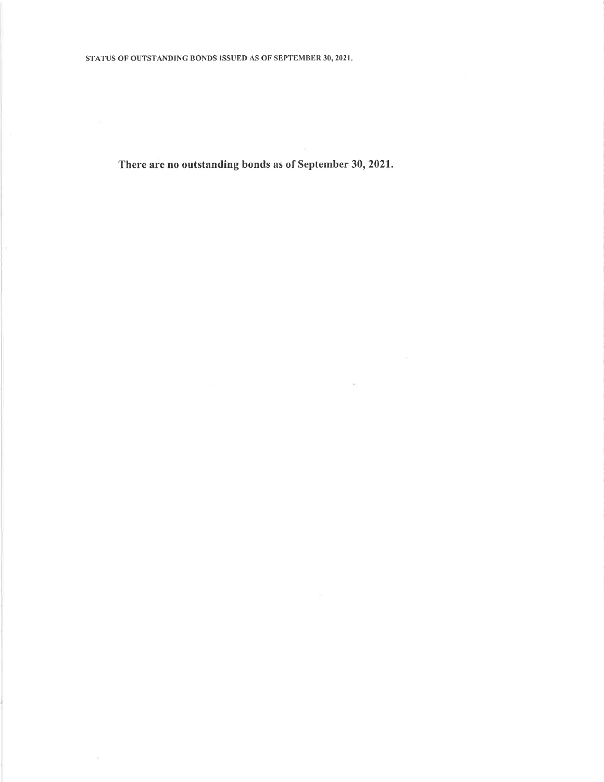There are no outstanding bonds as of September 30, 2021.

 $\mathbb{R}^n$  .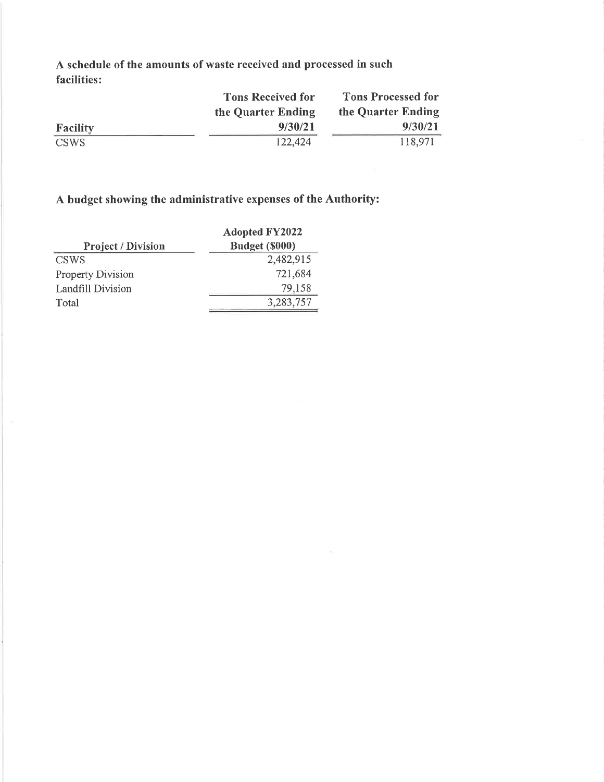A schedule of the amounts of waste received and processed in such facilities:

|                 | <b>Tons Received for</b> | <b>Tons Processed for</b> |  |
|-----------------|--------------------------|---------------------------|--|
|                 | the Quarter Ending       | the Quarter Ending        |  |
| <b>Facility</b> | 9/30/21                  | 9/30/21                   |  |
| CSWS            | 122,424                  | 118,971                   |  |

 $\mu$  ,

#### A budget showing the administrative expenses of the Authority:

|                           | <b>Adopted FY2022</b> |  |  |
|---------------------------|-----------------------|--|--|
| <b>Project / Division</b> | Budget (\$000)        |  |  |
| <b>CSWS</b>               | 2,482,915             |  |  |
| Property Division         | 721,684               |  |  |
| Landfill Division         | 79,158                |  |  |
| Total                     | 3,283,757             |  |  |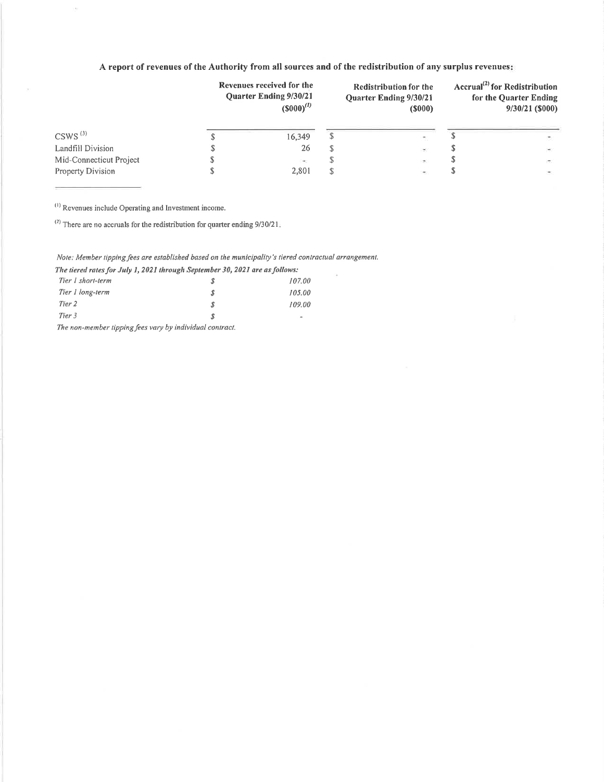#### A report of revenues of the Authority from all sources and of the redistribution of any surplus revenues:

|                         | Revenues received for the<br><b>Ouarter Ending 9/30/21</b><br>$(5000)^{(1)}$ | <b>Redistribution for the</b><br><b>Quarter Ending 9/30/21</b><br>$($ \$000 $)$ |                          | Accrual <sup>(2)</sup> for Redistribution<br>for the Quarter Ending<br>$9/30/21$ (\$000) |        |
|-------------------------|------------------------------------------------------------------------------|---------------------------------------------------------------------------------|--------------------------|------------------------------------------------------------------------------------------|--------|
| $CSWS^{(3)}$            | 16,349                                                                       |                                                                                 |                          |                                                                                          |        |
| Landfill Division       | 26                                                                           |                                                                                 | $\rightarrow$            |                                                                                          | 99     |
| Mid-Connecticut Project | $\sim$                                                                       |                                                                                 | $\sim$                   |                                                                                          | in the |
| Property Division       | 2.801                                                                        |                                                                                 | $\overline{\phantom{a}}$ |                                                                                          |        |

<sup>(1)</sup> Revenues include Operating and Investment income.

i,

 $^{(2)}$  There are no accruals for the redistribution for quarter ending 9/30/21.

#### Note: Member tipping fees are established based on the municipality's tiered contractual arrangement.

The tiered rates for July 1, 2021 through September 30, 2021 are as follows:

| Tier 1 short-term    |   | 107.00                   |
|----------------------|---|--------------------------|
| Tier 1 long-term     | я | 105.00                   |
| Tier 2               |   | 109.00                   |
| Tier 3               |   | $\overline{\phantom{0}}$ |
| <b>CONTRACT</b><br>. | . |                          |

The non-member tipping fees vary by individual contract.